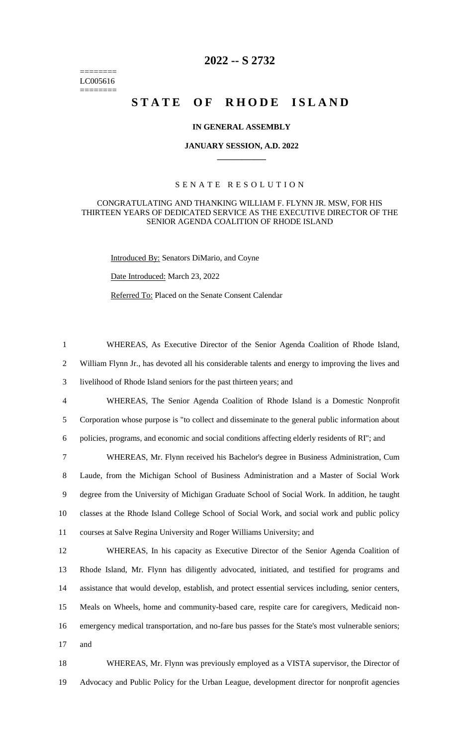======== LC005616 ========

## **2022 -- S 2732**

# **STATE OF RHODE ISLAND**

#### **IN GENERAL ASSEMBLY**

#### **JANUARY SESSION, A.D. 2022 \_\_\_\_\_\_\_\_\_\_\_\_**

### S E N A T E R E S O L U T I O N

#### CONGRATULATING AND THANKING WILLIAM F. FLYNN JR. MSW, FOR HIS THIRTEEN YEARS OF DEDICATED SERVICE AS THE EXECUTIVE DIRECTOR OF THE SENIOR AGENDA COALITION OF RHODE ISLAND

Introduced By: Senators DiMario, and Coyne

Date Introduced: March 23, 2022

Referred To: Placed on the Senate Consent Calendar

 WHEREAS, As Executive Director of the Senior Agenda Coalition of Rhode Island, William Flynn Jr., has devoted all his considerable talents and energy to improving the lives and livelihood of Rhode Island seniors for the past thirteen years; and WHEREAS, The Senior Agenda Coalition of Rhode Island is a Domestic Nonprofit Corporation whose purpose is "to collect and disseminate to the general public information about policies, programs, and economic and social conditions affecting elderly residents of RI"; and WHEREAS, Mr. Flynn received his Bachelor's degree in Business Administration, Cum

 Laude, from the Michigan School of Business Administration and a Master of Social Work degree from the University of Michigan Graduate School of Social Work. In addition, he taught classes at the Rhode Island College School of Social Work, and social work and public policy courses at Salve Regina University and Roger Williams University; and

 WHEREAS, In his capacity as Executive Director of the Senior Agenda Coalition of Rhode Island, Mr. Flynn has diligently advocated, initiated, and testified for programs and assistance that would develop, establish, and protect essential services including, senior centers, Meals on Wheels, home and community-based care, respite care for caregivers, Medicaid non- emergency medical transportation, and no-fare bus passes for the State's most vulnerable seniors; 17 and

18 WHEREAS, Mr. Flynn was previously employed as a VISTA supervisor, the Director of 19 Advocacy and Public Policy for the Urban League, development director for nonprofit agencies